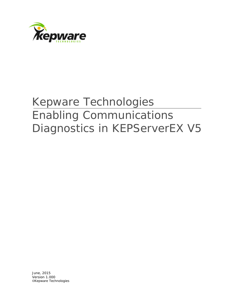

## Kepware Technologies Enabling Communications Diagnostics in KEPServerEX V5

June, 2015 Version 1.000 ©Kepware Technologies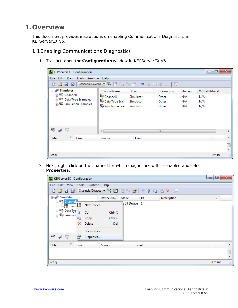## **1.Overview**

This document provides instructions on enabling Communications Diagnostics in KEPServerEX V5.

- 1.1Enabling Communications Diagnostics
	- 1. To start, open the **Configuration** window in KEPServerEX V5.

| KEPServerEX - Configuration                       |                          |               |            |         | ▣<br>$\Box$     | $\mathbf{x}$ |
|---------------------------------------------------|--------------------------|---------------|------------|---------|-----------------|--------------|
| Tools Runtime Help<br><b>File</b><br>Edit<br>View |                          |               |            |         |                 |              |
| BBB Mannels/Devices ▼今团防行窗   ウメも色×   照            |                          |               |            |         |                 |              |
| <b>⊟ al<sup>e</sup> Simulator</b>                 | <b>Channel Name</b>      | <b>Driver</b> | Connection | Sharing | Virtual Network |              |
| <b>E</b> Channel1                                 | Channel1                 | Simulator     | Other      | N/A     | N/A             |              |
| Data Type Examples<br>5 Simulation Examples       | PData Type Exa           | Simulator     | Other      | N/A     | N/A             |              |
|                                                   | Simulation Exa Simulator |               | Other      | N/A     | N/A             |              |
|                                                   |                          |               |            |         |                 |              |
| Q.<br>G                                           | ∢                        |               | m          |         |                 |              |
| Time<br>Date                                      | Source                   | Event         |            |         |                 | A.           |
|                                                   |                          |               |            |         |                 | Ţ            |
| Ready                                             |                          |               |            |         | Offline         | al.          |

2. Next, right-click on the channel for which diagnostics will be enabled and select **Properties**.

| KEPServerEX - Configuration            |                            |                            | $\mathbf{x}$<br>▣<br>$\Box$ |
|----------------------------------------|----------------------------|----------------------------|-----------------------------|
| View<br><b>File</b><br>Edit            | Tools Runtime Help         |                            |                             |
| n                                      |                            | $\boxed{\boxtimes 0}$      |                             |
| ⊟ and Simulator                        | Device Na                  | Model<br>ID<br>Description |                             |
| <b>Channel</b><br><b>In Devi</b>       | th.<br><b>New Device</b>   | <b>Bit Device</b> 1        |                             |
| <b>E</b> Data Typ<br><b>E</b> Simulati | X<br>$Ctrl+X$<br>Cut       |                            |                             |
|                                        | $Ctrl + C$<br>Copy<br>libr |                            |                             |
|                                        | Delete<br>×<br>Del         |                            |                             |
|                                        | Diagnostics                |                            |                             |
| q.<br>$\theta^k$<br>Ģ                  | 矕<br>Properties            |                            |                             |
| Date                                   | Time<br>Source             | Event                      | ∸                           |
|                                        |                            |                            |                             |
|                                        |                            |                            | $\overline{\phantom{a}}$    |
| Ready                                  |                            |                            | Offline<br>zi.              |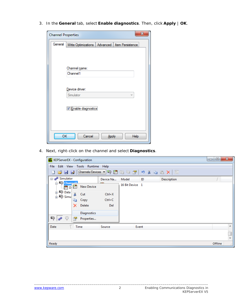3. In the **General** tab, select **Enable diagnostics**. Then, click **Apply** | **OK**.

| <b>Channel Properties</b> | X                                                  |
|---------------------------|----------------------------------------------------|
| General                   | Write Optimizations<br>Advanced   Item Persistence |
|                           |                                                    |
|                           |                                                    |
|                           | Channel name:                                      |
|                           | Channel1                                           |
|                           |                                                    |
|                           |                                                    |
|                           | Device driver:                                     |
|                           | Simulator<br>v                                     |
|                           |                                                    |
|                           | <b>V</b> Enable diagnostics                        |
|                           |                                                    |
|                           |                                                    |
|                           |                                                    |
| OK                        | Cancel<br>Help                                     |
|                           | Apply                                              |

4. Next, right-click on the channel and select **Diagnostics**.

| KEPServerEX - Configuration                                              |            |                 |    |               | $\mathbf{x}$<br>▣<br>$\Box$    |
|--------------------------------------------------------------------------|------------|-----------------|----|---------------|--------------------------------|
| Edit<br><b>View</b><br>Tools Runtime Help<br>File                        |            |                 |    |               |                                |
| [Channels/Devices ▼ 今 圃 防 行 習   り る 毛 色 X<br>82<br>$\Rightarrow$<br>n    |            |                 |    | $\frac{1}{2}$ |                                |
| Simulator ا∰تع <sub>ان</sub> ⊟                                           | Device Na  | Model           | ID | Description   |                                |
| <b>Channel<sup>1</sup></b><br><b>New Device</b><br>bπ<br><b>Lettin</b> D |            | 16 Bit Device 1 |    |               |                                |
| <b>Exp</b> Data<br>¥<br>Cut<br><sub>⊞</sub> on Simu                      | $Ctrl+X$   |                 |    |               |                                |
| Ł<br>Copy                                                                | $Ctrl + C$ |                 |    |               |                                |
| Delete<br>x                                                              | Del        |                 |    |               |                                |
| Diagnostics                                                              |            |                 |    |               |                                |
| q<br>al <sup>ip</sup><br>Q<br>矕<br>Properties                            |            |                 |    |               |                                |
| Date<br>Time                                                             | Source     | Event           |    |               | ᆂ                              |
|                                                                          |            |                 |    |               | ļ                              |
|                                                                          |            |                 |    |               |                                |
| Ready                                                                    |            |                 |    |               | Offline<br>$\tau_{11}^{\ddag}$ |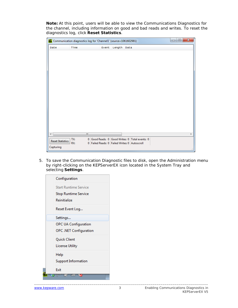**Note:** At this point, users will be able to view the Communications Diagnostics for the channel, including information on good and bad reads and writes. To reset the diagnostics log, click **Reset Statistics**.

|                         | Communication diagnostics log for 'Channel1' (source=1061602981) |                                               |        |                                                | $\mathbf{x}$<br>o<br>$\blacksquare$ |
|-------------------------|------------------------------------------------------------------|-----------------------------------------------|--------|------------------------------------------------|-------------------------------------|
| Date                    | Time                                                             | Event                                         | Length | Data                                           |                                     |
|                         |                                                                  |                                               |        |                                                |                                     |
|                         |                                                                  |                                               |        |                                                |                                     |
|                         |                                                                  |                                               |        |                                                |                                     |
|                         |                                                                  |                                               |        |                                                |                                     |
|                         |                                                                  |                                               |        |                                                |                                     |
|                         |                                                                  |                                               |        |                                                |                                     |
|                         |                                                                  |                                               |        |                                                |                                     |
|                         |                                                                  |                                               |        |                                                |                                     |
|                         |                                                                  |                                               |        |                                                |                                     |
|                         |                                                                  |                                               |        |                                                |                                     |
|                         |                                                                  |                                               |        |                                                |                                     |
|                         |                                                                  |                                               |        |                                                |                                     |
|                         |                                                                  |                                               |        |                                                |                                     |
|                         |                                                                  |                                               |        |                                                |                                     |
| d                       | m,                                                               |                                               |        |                                                | ь                                   |
|                         | TX:                                                              |                                               |        | 0 Good Reads: 0 Good Writes: 0 Total events: 0 |                                     |
| <b>Reset Statistics</b> | RX:                                                              | 0 Failed Reads: 0 Failed Writes: 0 Autoscroll |        |                                                |                                     |
| Capturing               |                                                                  |                                               |        |                                                |                                     |

5. To save the Communication Diagnostic files to disk, open the Administration menu by right-clicking on the KEPServerEX icon located in the System Tray and selecting **Settings**.